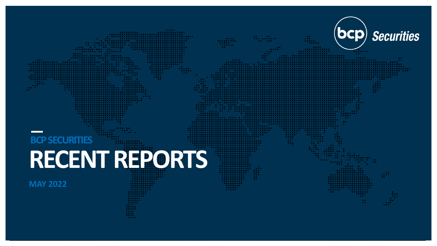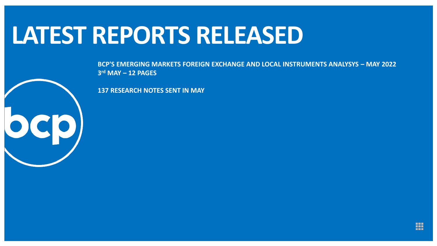#### **LATEST REPORTS RELEASED**

**BCP'S EMERGING MARKETS FOREIGN EXCHANGE AND LOCAL INSTRUMENTS ANALYSYS – MAY 2022 3 rd MAY – 12 PAGES** 

**137 RESEARCH NOTES SENT IN MAY**

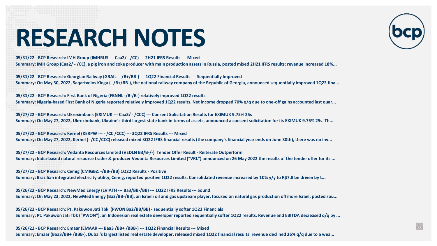**05/31/22 - BCP Research: IMH Group (IMHRUS --- Caa2/ - /CC) --- 2H21 IFRS Results --- Mixed**

**Summary: IMH Group (Caa2/ - /CC), a pig iron and coke producer with main production assets in Russia, posted mixed 2H21 IFRS results: revenue increased 18%...**

**05/31/22 - BCP Research: Georgian Railway (GRAIL - -/B+/BB-) --- 1Q22 Financial Results --- Sequentially Improved Summary: On May 30, 2022, Saqartvelos Kinga (- /B+/BB-), the national railway company of the Republic of Georgia, announced sequentially improved 1Q22 fina...**

**05/31/22 - BCP Research: First Bank of Nigeria (FBNNL -/B-/B-) relatively improved 1Q22 results**

**Summary: Nigeria-based First Bank of Nigeria reported relatively improved 1Q22 results. Net income dropped 70% q/q due to one-off gains accounted last quar...**

**05/27/22 - BCP Research: Ukreximbank (EXIMUK --- Caa3/ - /CCC) --- Consent Solicitation Results for EXIMUK 9.75% 25s Summary: On May 27, 2022, Ukreximbank, Ukraine's third largest state bank in terms of assets, announced a consent solicitation for its EXIMUK 9.75% 25s. Th...**

**05/27/22 - BCP Research: Kernel (KERPW --- - /CC /CCC) --- 3Q22 IFRS Results --- Mixed Summary: On May 27, 2022, Kernel (- /CC /CCC) released mixed 3Q22 IFRS financial results (the company's financial year ends on June 30th), there was no inv...**

**05/27/22 - BCP Research: Vedanta Resources Limited (VEDLN B3/B-/-) Tender Offer Result - Reiterate Outperform Summary: India-based natural resource trader & producer Vedanta Resources Limited ("VRL") announced on 26 May 2022 the results of the tender offer for its ...**

**05/27/22 - BCP Research: Cemig (CMIGBZ: -/BB-/BB) 1Q22 Results - Positive**

**Summary: Brazilian integrated electricity utility, Cemig, reported positive 1Q22 results. Consolidated revenue increased by 10% y/y to R\$7.8 bn driven by t...**

**05/26/22 - BCP Research: NewMed Energy (LVIATH --- Ba3/BB-/BB) --- 1Q22 IFRS Results --- Sound Summary: On May 23, 2022, NewMed Energy (Ba3/BB-/BB), an Israeli oil and gas upstream player, focused on natural gas production offshore Israel, posted sou...**

**05/26/22 - BCP Research: Pt. Pakuwon Jati Tbk (PWON Ba2/BB/BB) - sequentially softer 1Q22 Financials Summary: Pt. Pakuwon Jati Tbk ("PWON"), an Indonesian real estate developer reported sequentially softer 1Q22 results. Revenue and EBITDA decreased q/q by ...**

H

**05/26/22 - BCP Research: Emaar (EMAAR --- Baa3 /BB+ /BBB-) --- 1Q22 Financial Results --- Mixed Summary: Emaar (Baa3/BB+ /BBB-), Dubai's largest listed real estate developer, released mixed 1Q22 financial results: revenue declined 26% q/q due to a wea...**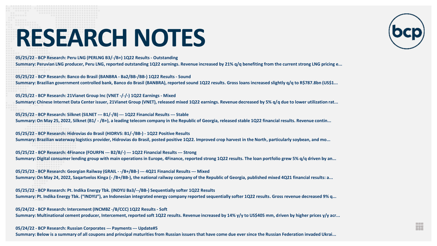**05/25/22 - BCP Research: Peru LNG (PERLNG B3/-/B+) 1Q22 Results - Outstanding**

**Summary: Peruvian LNG producer, Peru LNG, reported outstanding 1Q22 earnings. Revenue increased by 21% q/q benefiting from the current strong LNG pricing e...**

**05/25/22 - BCP Research: Banco do Brasil (BANBRA - Ba2/BB-/BB-) 1Q22 Results - Sound**

**Summary: Brazilian government controlled bank, Banco do Brasil (BANBRA), reported sound 1Q22 results. Gross loans increased slightly q/q to R\$787.8bn (US\$1...**

**05/25/22 - BCP Research: 21Vianet Group Inc (VNET -/-/-) 1Q22 Earnings - Mixed Summary: Chinese Internet Data Center issuer, 21Vianet Group (VNET), released mixed 1Q22 earnings. Revenue decreased by 5% q/q due to lower utilization rat...**

**05/25/22 - BCP Research: Silknet (SILNET --- B1/-/B) --- 1Q22 Financial Results --- Stable Summary: On May 25, 2022, Silknet (B1/ - /B+), a leading telecom company in the Republic of Georgia, released stable 1Q22 financial results. Revenue contin...**

**05/25/22 - BCP Research: Hidrovias do Brasil (HIDRVS: B1/-/BB-) - 1Q22 Positive Results Summary: Brazilian waterway logistics provider, Hidrovias do Brasil, posted positive 1Q22. Improved crop harvest in the North, particularly soybean, and mo...**

**05/25/22 - BCP Research: 4Finance (FOURFN --- B2/B/-) --- 1Q22 Financial Results --- Strong Summary: Digital consumer lending group with main operations in Europe, 4Finance, reported strong 1Q22 results. The loan portfolio grew 5% q/q driven by an...**

**05/25/22 - BCP Research: Georgian Railway (GRAIL - -/B+/BB-) --- 4Q21 Financial Results --- Mixed Summary: On May 24, 2022, Saqartvelos Kinga (- /B+/BB-), the national railway company of the Republic of Georgia, published mixed 4Q21 financial results: a...**

**05/25/22 - BCP Research: Pt. Indika Energy Tbk. (INDYIJ Ba3/--/BB-) Sequentially softer 1Q22 Results**

**Summary: Pt. Indika Energy Tbk. ("INDYIJ"), an Indonesian integrated energy company reported sequentially softer 1Q22 results. Gross revenue decreased 9% q...**

**05/24/22 - BCP Research: Intercement (INCMBZ -/B/CCC) 1Q22 Results - Soft Summary: Multinational cement producer, Intercement, reported soft 1Q22 results. Revenue increased by 14% y/y to US\$405 mm, driven by higher prices y/y acr...**

**05/24/22 - BCP Research: Russian Corporates --- Payments --- Update#5**

**Summary: Below is a summary of all coupons and principal maturities from Russian issuers that have come due ever since the Russian Federation invaded Ukrai...**

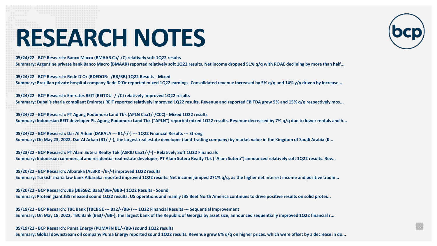**05/24/22 - BCP Research: Banco Macro (BMAAR Ca/-/C) relatively soft 1Q22 results**

**Summary: Argentine private bank Banco Macro (BMAAR) reported relatively soft 1Q22 results. Net income dropped 51% q/q with ROAE declining by more than half...**

**05/24/22 - BCP Research: Rede D'Or (RDEDOR: -/BB/BB) 1Q22 Results - Mixed**

**Summary: Brazilian private hospital company Rede D'Or reported mixed 1Q22 earnings. Consolidated revenue increased by 5% q/q and 14% y/y driven by increase...**

**05/24/22 - BCP Research: Emirates REIT (REITDU -/-/C) relatively improved 1Q22 results Summary: Dubai's sharia compliant Emirates REIT reported relatively improved 1Q22 results. Revenue and reported EBITDA grew 5% and 15% q/q respectively mos...**

**05/24/22 - BCP Research: PT Agung Podomoro Land Tbk (APLN Caa1/-/CCC) - Mixed 1Q22 results Summary: Indonesian REIT developer Pt. Agung Podomoro Land Tbk ("APLN") reported mixed 1Q22 results. Revenue decreased by 7% q/q due to lower rentals and h...**

**05/24/22 - BCP Research: Dar Al Arkan (DARALA --- B1/-/-) --- 1Q22 Financial Results --- Strong Summary: On May 23, 2022, Dar Al Arkan (B1/-/-), the largest real estate developer (land-trading company) by market value in the Kingdom of Saudi Arabia (K...**

**05/23/22 - BCP Research: PT Alam Sutera Realty Tbk (ASRIIJ Caa1/-/-) - Relatively Soft 1Q22 Financials Summary: Indonesian commercial and residential real-estate developer, PT Alam Sutera Realty Tbk ("Alam Sutera") announced relatively soft 1Q22 results. Rev...**

**05/20/22 - BCP Research: Albaraka (ALBRK -/B-/-) improved 1Q22 results**

**Summary: Turkish sharia law bank Albaraka reported improved 1Q22 results. Net income jumped 271% q/q, as the higher net interest income and positive tradin...**

**05/20/22 - BCP Research: JBS (JBSSBZ: Baa3/BB+/BBB-) 1Q22 Results - Sound Summary: Protein giant JBS released sound 1Q22 results. US operations and mainly JBS Beef North America continues to drive positive results on solid protei...**

**05/19/22 - BCP Research: TBC Bank (TBCBGE --- Ba2/-/BB-) --- 1Q22 Financial Results --- Sequential Improvement Summary: On May 18, 2022, TBC Bank (Ba3/-/BB-), the largest bank of the Republic of Georgia by asset size, announced sequentially improved 1Q22 financial r...**

**05/19/22 - BCP Research: Puma Energy (PUMAFN B1/-/BB-) sound 1Q22 results**

**Summary: Global downstream oil company Puma Energy reported sound 1Q22 results. Revenue grew 6% q/q on higher prices, which were offset by a decrease in do...**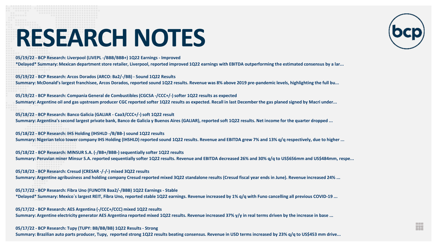**05/19/22 - BCP Research: Liverpool (LIVEPL -/BBB/BBB+) 1Q22 Earnings - Improved**

**\*Delayed\* Summary: Mexican department store retailer, Liverpool, reported improved 1Q22 earnings with EBITDA outperforming the estimated consensus by a lar...**

**05/19/22 - BCP Research: Arcos Dorados (ARCO: Ba2/-/BB) - Sound 1Q22 Results** 

**Summary: McDonald's largest franchisee, Arcos Dorados, reported sound 1Q22 results. Revenue was 8% above 2019 pre-pandemic levels, highlighting the full bu...**

**05/19/22 - BCP Research: Compania General de Combustibles (CGCSA -/CCC+/-) softer 1Q22 results as expected Summary: Argentine oil and gas upstream producer CGC reported softer 1Q22 results as expected. Recall in last December the gas planed signed by Macri under...**

**05/18/22 - BCP Research: Banco Galicia (GALIAR - Caa3/CCC+/-) soft 1Q22 result Summary: Argentina's second largest private bank, Banco de Galicia y Buenos Aires (GALIAR), reported soft 1Q22 results. Net income for the quarter dropped ...**

**05/18/22 - BCP Research: IHS Holding (IHSHLD -/B/BB-) sound 1Q22 results**

**Summary: Nigerian telco tower company IHS Holding (IHSHLD) reported sound 1Q22 results. Revenue and EBITDA grew 7% and 13% q/q respectively, due to higher ...**

**05/18/22 - BCP Research: MINSUR S.A. (-/BB+/BBB-) sequentially softer 1Q22 results Summary: Peruvian miner Minsur S.A. reported sequentially softer 1Q22 results. Revenue and EBITDA decreased 26% and 30% q/q to US\$656mm and US\$484mm, respe...**

**05/18/22 - BCP Research: Cresud (CRESAR -/-/-) mixed 3Q22 results**

**Summary: Argentine agribusiness and holding company Cresud reported mixed 3Q22 standalone results (Cresud fiscal year ends in June). Revenue increased 24% ...**

**05/17/22 - BCP Research: Fibra Uno (FUNOTR Baa2/-/BBB) 1Q22 Earnings - Stable**

**\*Delayed\* Summary: Mexico´s largest REIT, Fibra Uno, reported stable 1Q22 earnings. Revenue increased by 1% q/q with Funo cancelling all previous COVID-19 ...**

**05/17/22 - BCP Research: AES Argentina (-/CCC+/CCC) mixed 1Q22 results Summary: Argentine electricity generator AES Argentina reported mixed 1Q22 results. Revenue increased 37% y/y in real terms driven by the increase in base ...**

**05/17/22 - BCP Research: Tupy (TUPY: BB/BB/BB) 1Q22 Results - Strong**

**Summary: Brazilian auto parts producer, Tupy, reported strong 1Q22 results beating consensus. Revenue in USD terms increased by 23% q/q to US\$453 mm drive...**

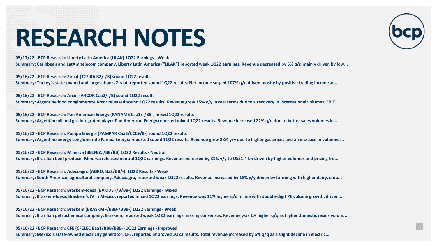**05/17/22 - BCP Research: Liberty Latin America (LILAK) 1Q22 Earnings - Weak** 

**Summary: Caribbean and LatAm telecom company, Liberty Latin America ("LILAK") reported weak 1Q22 earnings. Revenue decreased by 5% q/q mainly driven by low...**

**05/16/22 - BCP Research: Ziraat (TCZIRA B2/-/B) sound 1Q22 results**

**Summary: Turkey's state-owned and largest bank, Ziraat, reported sound 1Q22 results. Net income surged 107% q/q driven mostly by positive trading income an...**

**05/16/22 - BCP Research: Arcor (ARCOR Caa2/-/B) sound 1Q22 results Summary: Argentine food conglomerate Arcor released sound 1Q22 results. Revenue grew 15% y/y in real terms due to a recovery in international volumes. EBIT...**

**05/16/22 - BCP Research: Pan American Energy (PANAME Caa1/-/BB-) mixed 1Q22 results Summary: Argentine oil and gas integrated player Pan American Energy reported mixed 1Q22 results. Revenue increased 22% q/q due to better sales volumes in ...**

**05/16/22 - BCP Research: Pampa Energia (PAMPAR Caa3/CCC+/B-) sound 1Q22 results Summary: Argentine energy conglomerate Pampa Energia reported sound 1Q22 results. Revenue grew 28% y/y due to higher gas prices and an increase in volumes ...**

**05/16/22 - BCP Research: Minerva (BEEFBZ: /BB/BB) 1Q22 Results - Neutral** 

**Summary: Brazilian beef producer Minerva released neutral 1Q22 earnings. Revenue increased by 31% y/y to US\$1.4 bn driven by higher volumes and pricing fro...**

**05/16/22 - BCP Research: Adecoagro (AGRO: Ba2/BB/-) 1Q22 Results - Weak**

**Summary: South American agricultural company, Adecoagro, reported weak 1Q22 results. Revenue increased by 18% y/y driven by farming with higher dairy, crop...**

**05/16/22 - BCP Research: Braskem-Idesa (BAKIDE -/B/BB-) 1Q22 Earnings - Mixed**

**Summary: Braskem-Idesa, Braskem's JV in Mexico, reported mixed 1Q22 earnings. Revenue was 11% higher q/q in line with double-digit PE volume growth, driven...**

**05/16/22 - BCP Research: Braskem (BRASKM -/BBB-/BBB-) 1Q22 Earnings - Weak**

**Summary: Brazilian petrochemical company, Braskem, reported weak 1Q22 earnings missing consensus. Revenue was 1% higher q/q as higher domestic resins volum...**

**05/16/22 - BCP Research: CFE (CFELEC Baa1/BBB/BBB-) 1Q22 Earnings - Improved Summary: Mexico´s state-owned electricity generator, CFE, reported improved 1Q22 results. Total revenue increased by 6% q/q as a slight decline in electric...**

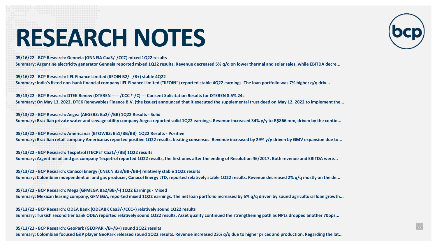**05/16/22 - BCP Research: Genneia (GNNEIA Caa3/-/CCC) mixed 1Q22 results**

**Summary: Argentine electricity generator Genneia reported mixed 1Q22 results. Revenue decreased 5% q/q on lower thermal and solar sales, while EBITDA decre...**

**05/16/22 - BCP Research: IIFL Finance Limited (IIFOIN B2/--/B+) stable 4Q22**

**Summary: India's listed non-bank financial company IIFL Finance Limited ("IIFOIN") reported stable 4Q22 earnings. The loan portfolio was 7% higher q/q driv...**

**05/13/22 - BCP Research: DTEK Renew (DTEREN --- - /CCC \*-/C) --- Consent Solicitation Results for DTEREN 8.5% 24s Summary: On May 13, 2022, DTEK Renewables Finance B.V. (the issuer) announced that it executed the supplemental trust deed on May 12, 2022 to implement the...**

**05/13/22 - BCP Research: Aegea (AEGEBZ: Ba2/-/BB) 1Q22 Results - Solid Summary: Brazilian private water and sewage utility company Aegea reported solid 1Q22 earnings. Revenue increased 34% y/y to R\$866 mm, driven by the contin...**

**05/13/22 - BCP Research: Americanas (BTOWBZ: Ba1/BB/BB) 1Q22 Results - Positive Summary: Brazilian retail company Americanas reported positive 1Q22 results, beating consensus. Revenue increased by 29% y/y driven by GMV expansion due to...**

**05/13/22 - BCP Research: Tecpetrol (TECPET Caa1/-/BB) 1Q22 results Summary: Argentine oil and gas company Tecpetrol reported 1Q22 results, the first ones after the ending of Resolution 46/2017. Both revenue and EBITDA were...**

**05/13/22 - BCP Research: Canacol Energy (CNECN Ba3/BB-/BB-) relatively stable 1Q22 results**

**Summary: Colombian independent oil and gas producer, Canacol Energy LTD, reported relatively stable 1Q22 results. Revenue decreased 2% q/q mostly on the de...**

**05/13/22 - BCP Research: Mega (GFMEGA Ba2/BB-/-) 1Q22 Earnings - Mixed Summary: Mexican leasing company, GFMEGA, reported mixed 1Q22 earnings. The net loan portfolio increased by 6% q/q driven by sound agricultural loan growth...**

**05/13/22 - BCP Research: ODEA Bank (ODEABK Caa3/-/CCC+) relatively sound 1Q22 results Summary: Turkish second tier bank ODEA reported relatively sound 1Q22 results. Asset quality continued the strengthening path as NPLs dropped another 70bps...**

**05/13/22 - BCP Research: GeoPark (GEOPAR -/B+/B+) sound 1Q22 results**

**Summary: Colombian focused E&P player GeoPark released sound 1Q22 results. Revenue increased 23% q/q due to higher prices and production. Regarding the lat...**

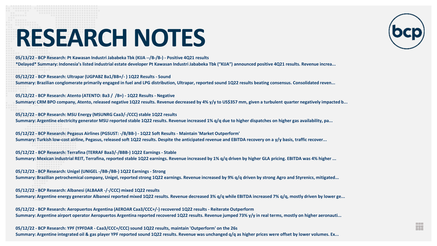**05/13/22 - BCP Research: Pt Kawasan Industri Jababeka Tbk (KIJA --/B-/B-) - Positive 4Q21 results**

**\*Delayed\* Summary: Indonesia's listed industrial estate developer Pt Kawasan Industri Jababeka Tbk ("KIJA") announced positive 4Q21 results. Revenue increa...**

**05/12/22 - BCP Research: Ultrapar (UGPABZ Ba1/BB+/- ) 1Q22 Results - Sound**

**Summary: Brazilian conglomerate primarily engaged in fuel and LPG distribution, Ultrapar, reported sound 1Q22 results beating consensus. Consolidated reven...**

**05/12/22 - BCP Research: Atento (ATENTO: Ba3 / /B+) - 1Q22 Results - Negative** 

**Summary: CRM BPO company, Atento, released negative 1Q22 results. Revenue decreased by 4% y/y to US\$357 mm, given a turbulent quarter negatively impacted b...**

**05/12/22 - BCP Research: MSU Energy (MSUNRG Caa3/-/CCC) stable 1Q22 results**

**Summary: Argentine electricity generator MSU reported stable 1Q22 results. Revenue increased 1% q/q due to higher dispatches on higher gas availability, pa...**

**05/12/22 - BCP Research: Pegasus Airlines (PGSUST: -/B/BB-) - 1Q22 Soft Results - Maintain 'Market Outperform' Summary: Turkish low-cost airline, Pegasus, released soft 1Q22 results. Despite the anticipated revenue and EBITDA recovery on a y/y basis, traffic recover...**

**05/12/22 - BCP Research: Terrafina (TERRAF Baa3/-/BBB-) 1Q22 Earnings - Stable**

**Summary: Mexican industrial REIT, Terrafina, reported stable 1Q22 earnings. Revenue increased by 1% q/q driven by higher GLA pricing. EBITDA was 4% higher ...**

**05/12/22 - BCP Research: Unigel (UNIGEL -/BB-/BB-) 1Q22 Earnings - Strong**

**Summary: Brazilian petrochemical company, Unigel, reported strong 1Q22 earnings. Revenue increased by 9% q/q driven by strong Agro and Styrenics, mitigated...**

**05/12/22 - BCP Research: Albanesi (ALBAAR -/-/CCC) mixed 1Q22 results**

**Summary: Argentine energy generator Albanesi reported mixed 1Q22 results. Revenue decreased 3% q/q while EBITDA increased 7% q/q, mostly driven by lower ge...**

**05/12/22 - BCP Research: Aeropuertos Argentina (AEROAR Caa3/CCC+/-) recovered 1Q22 results - Reiterate Outperform Summary: Argentine airport operator Aeropuertos Argentina reported recovered 1Q22 results. Revenue jumped 73% y/y in real terms, mostly on higher aeronauti...**

**05/12/22 - BCP Research: YPF (YPFDAR - Caa3/CCC+/CCC) sound 1Q22 results, maintain 'Outperform' on the 26s Summary: Argentine integrated oil & gas player YPF reported sound 1Q22 results. Revenue was unchanged q/q as higher prices were offset by lower volumes. Ex...**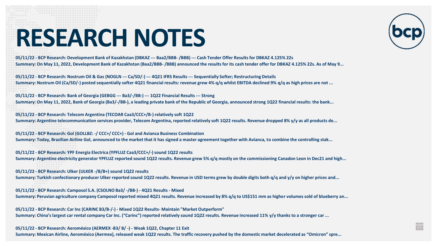

H

**05/11/22 - BCP Research: Development Bank of Kazakhstan (DBKAZ --- Baa2/BBB- /BBB) --- Cash Tender Offer Results for DBKAZ 4.125% 22s Summary: On May 11, 2022, Development Bank of Kazakhstan (Baa2/BBB- /BBB) announced the results for its cash tender offer for DBKAZ 4.125% 22s. As of May 9...**

**05/11/22 - BCP Research: Nostrum Oil & Gas (NOGLN --- Ca/SD/-) --- 4Q21 IFRS Results --- Sequentially Softer; Restructuring Details Summary: Nostrum Oil (Ca/SD/-) posted sequentially softer 4Q21 financial results: revenue grew 4% q/q whilst EBITDA declined 9% q/q as high prices are not ...**

**05/11/22 - BCP Research: Bank of Georgia (GEBGG --- Ba3/-/BB-) --- 1Q22 Financial Results --- Strong**

**Summary: On May 11, 2022, Bank of Georgia (Ba3/-/BB-), a leading private bank of the Republic of Georgia, announced strong 1Q22 financial results: the bank...**

**05/11/22 - BCP Research: Telecom Argentina (TECOAR Caa3/CCC+/B-) relatively soft 1Q22 Summary: Argentine telecommunication services provider, Telecom Argentina, reported relatively soft 1Q22 results. Revenue dropped 8% y/y as all products de...**

**05/11/22 - BCP Research: Gol (GOLLBZ: -/ CCC+/ CCC+) - Gol and Avianca Business Combination Summary: Today, Brazilian Airline Gol, announced to the market that it has signed a master agreement together with Avianca, to combine the controlling stak...**

**05/11/22 - BCP Research: YPF Energia Electrica (YPFLUZ Caa3/CCC+/-) sound 1Q22 results Summary: Argentine electricity generator YPFLUZ reported sound 1Q22 results. Revenue grew 5% q/q mostly on the commissioning Canadon Leon in Dec21 and high...**

**05/11/22 - BCP Research: Ulker (ULKER -/B/B+) sound 1Q22 results**

**Summary: Turkish confectionary producer Ulker reported sound 1Q22 results. Revenue in USD terms grew by double digits both q/q and y/y on higher prices and...**

**05/11/22 - BCP Research: Camposol S.A. (CSOLNO Ba3/ -/BB-) - 4Q21 Results - Mixed Summary: Peruvian agriculture company Camposol reported mixed 4Q21 results. Revenue increased by 8% q/q to US\$151 mm as higher volumes sold of blueberry an...**

**05/11/22 - BCP Research: Car Inc (CARINC B3/B-/-) - Mixed 1Q22 Results- Maintain "Market Outperform" Summary: China's largest car rental company Car Inc. ("Carinc") reported relatively sound 1Q22 results. Revenue increased 11% y/y thanks to a stronger car ...**

**05/11/22 - BCP Research: Aeroméxico (AERMEX -B3/ B/ -) - Weak 1Q22, Chapter 11 Exit Summary: Mexican Airline, Aeroméxico (Aermex), released weak 1Q22 results. The traffic recovery pushed by the domestic market decelerated as "Omicron" spre...**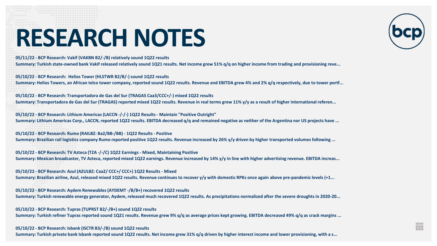**05/11/22 - BCP Research: Vakif (VAKBN B2/-/B) relatively sound 1Q22 results**

**Summary: Turkish state-owned bank Vakif released relatively sound 1Q21 results. Net income grew 51% q/q on higher income from trading and provisioning reve...**

**05/10/22 - BCP Research: Helios Tower (HLSTWR B2/B/-) sound 1Q22 results**

**Summary: Helios Towers, an African telco tower company, reported sound 1Q22 results. Revenue and EBITDA grew 4% and 2% q/q respectively, due to tower portf...**

**05/10/22 - BCP Research: Transportadora de Gas del Sur (TRAGAS Caa3/CCC+/-) mixed 1Q22 results**

**Summary: Transportadora de Gas del Sur (TRAGAS) reported mixed 1Q22 results. Revenue in real terms grew 11% y/y as a result of higher international referen...**

**05/10/22 - BCP Research: Lithium Americas (LACCN -/-/-) 1Q22 Results - Maintain "Positive Outright" Summary: Lithium Americas Corp., LACCN, reported 1Q22 results. EBITDA decreased q/q and remained negative as neither of the Argentina nor US projects have ...**

**05/10/22 - BCP Research: Rumo (RAILBZ: Ba2/BB-/BB) - 1Q22 Results - Positive**

**Summary: Brazilian rail logistics company Rumo reported positive 1Q22 results. Revenue increased by 26% y/y driven by higher transported volumes following ...**

**05/10/22 - BCP Research: TV Azteca (TZA -/-/C) 1Q22 Earnings - Mixed, Maintaining Positive Summary: Mexican broadcaster, TV Azteca, reported mixed 1Q22 earnings. Revenue increased by 14% y/y in line with higher advertising revenue. EBITDA increas...**

**05/10/22 - BCP Research: Azul (AZULBZ: Caa2/ CCC+/ CCC+) 1Q22 Results - Mixed**

**Summary: Brazilian airline, Azul, released mixed 1Q22 results. Revenue continues to recover y/y with domestic RPKs once again above pre-pandemic levels (+1...**

**05/10/22 - BCP Research: Aydem Renewables (AYDEMT -/B/B+) recovered 1Q22 results Summary: Turkish renewable energy generator, Aydem, released much recovered 1Q22 results. As precipitations normalized after the severe droughts in 2020-20...**

**05/10/22 - BCP Research: Tupras (TUPRST B2/-/B+) sound 1Q22 results Summary: Turkish refiner Tupras reported sound 1Q21 results. Revenue grew 9% q/q as average prices kept growing. EBITDA decreased 49% q/q as crack margins ...**

**05/10/22 - BCP Research: Isbank (ISCTR B3/-/B) sound 1Q22 results**

**Summary: Turkish private bank Isbank reported sound 1Q22 results. Net income grew 31% q/q driven by higher interest income and lower provisioning, with a s...**

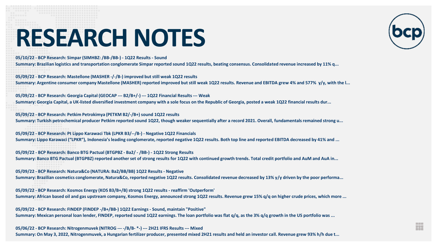**05/10/22 - BCP Research: Simpar (SIMHBZ: /BB-/BB-) - 1Q22 Results - Sound**

**Summary: Brazilian logistics and transportation conglomerate Simpar reported sound 1Q22 results, beating consensus. Consolidated revenue increased by 11% q...**

**05/09/22 - BCP Research: Mastellone (MASHER -/-/B-) improved but still weak 1Q22 results Summary: Argentine consumer company Mastellone (MASHER) reported improved but still weak 1Q22 results. Revenue and EBITDA grew 4% and 577% y/y, with the l...**

**05/09/22 - BCP Research: Georgia Capital (GEOCAP --- B2/B+/-) --- 1Q22 Financial Results --- Weak**

**Summary: Georgia Capital, a UK-listed diversified investment company with a sole focus on the Republic of Georgia, posted a weak 1Q22 financial results dur...**

**05/09/22 - BCP Research: Petkim Petrokimya (PETKM B2/-/B+) sound 1Q22 results**

**Summary: Turkish petrochemical producer Petkim reported sound 1Q22, though weaker sequentially after a record 2021. Overall, fundamentals remained strong u...**

**05/09/22 - BCP Research: Pt Lippo Karawaci Tbk (LPKR B3/--/B-) - Negative 1Q22 Financials Summary: Lippo Karawaci ("LPKR"), Indonesia's leading conglomerate, reported negative 1Q22 results. Both top line and reported EBITDA decreased by 41% and ...**

**05/09/22 - BCP Research: Banco BTG Pactual (BTGPBZ - Ba2/ - /BB-) - 1Q22 Strong Results Summary: Banco BTG Pactual (BTGPBZ) reported another set of strong results for 1Q22 with continued growth trends. Total credit portfolio and AuM and AuA in...**

**05/09/22 - BCP Research: Natura&Co (NATURA: Ba2/BB/BB) 1Q22 Results - Negative**

**Summary: Brazilian cosmetics conglomerate, Natura&Co, reported negative 1Q22 results. Consolidated revenue decreased by 13% y/y driven by the poor performa...**

**05/09/22 - BCP Research: Kosmos Energy (KOS B3/B+/B) strong 1Q22 results - reaffirm 'Outperform' Summary: African based oil and gas upstream company, Kosmos Energy, announced strong 1Q22 results. Revenue grew 15% q/q on higher crude prices, which more ...**

**05/09/22 - BCP Research: FINDEP (FINDEP -/B+/BB-) 1Q22 Earnings - Sound, maintain "Positive" Summary: Mexican personal loan lender, FINDEP, reported sound 1Q22 earnings. The loan portfolio was flat q/q, as the 3% q/q growth in the US portfolio was ...**

**05/06/22 - BCP Research: Nitrogenmuvek (NITROG --- -/B/B- \*-) --- 2H21 IFRS Results --- Mixed Summary: On May 3, 2022, Nitrogenmuvek, a Hungarian fertilizer producer, presented mixed 2H21 results and held an investor call. Revenue grew 93% h/h due t...**

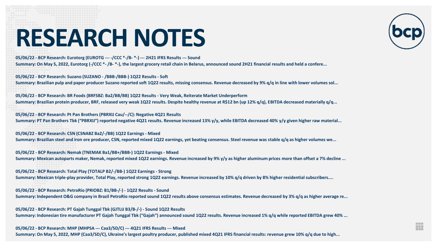**05/06/22 - BCP Research: Eurotorg (EUROTG --- -/CCC \*-/B- \*-) --- 2H21 IFRS Results --- Sound**

**Summary: On May 5, 2022, Eurotorg (-/CCC \*- /B- \*-), the largest grocery retail chain in Belarus, announced sound 2H21 financial results and held a confere...**

**05/06/22 - BCP Research: Suzano (SUZANO - /BBB-/BBB-) 1Q22 Results - Soft**

**Summary: Brazilian pulp and paper producer Suzano reported soft 1Q22 results, missing consensus. Revenue decreased by 9% q/q in line with lower volumes sol...**

**05/06/22 - BCP Research: BR Foods (BRFSBZ: Ba2/BB/BB) 1Q22 Results - Very Weak, Reiterate Market Underperform Summary: Brazilian protein producer, BRF, released very weak 1Q22 results. Despite healthy revenue at R\$12 bn (up 12% q/q), EBITDA decreased materially q/q...**

**05/06/22 - BCP Research: Pt Pan Brothers (PBRXIJ Cau/--/C): Negative 4Q21 Results Summary: PT Pan Brothers Tbk ("PBRXIJ") reported negative 4Q21 results. Revenue increased 13% y/y, while EBITDA decreased 40% y/y given higher raw material...**

**05/06/22 - BCP Research: CSN (CSNABZ Ba2/-/BB) 1Q22 Earnings - Mixed**

**Summary: Brazilian steel and iron ore producer, CSN, reported mixed 1Q22 earnings, yet beating consensus. Steel revenue was stable q/q as higher volumes we...**

**05/06/22 - BCP Research: Nemak (TNEMAK Ba1/BB+/BBB-) 1Q22 Earnings - Mixed Summary: Mexican autoparts maker, Nemak, reported mixed 1Q22 earnings. Revenue increased by 9% y/y as higher aluminum prices more than offset a 7% decline ...**

**05/06/22 - BCP Research: Total Play (TOTALP B2/-/BB-) 1Q22 Earnings - Strong**

**Summary: Mexican triple-play provider, Total Play, reported strong 1Q22 earnings. Revenue increased by 10% q/q driven by 8% higher residential subscribers....**

**05/06/22 - BCP Research: PetroRio (PRIOBZ: B1/BB-/-) - 1Q22 Results - Sound Summary: Independent O&G company in Brazil PetroRio reported sound 1Q22 results above consensus estimates. Revenue decreased by 3% q/q as higher average re...**

**05/06/22 - BCP Research: PT Gajah Tunggal Tbk (GJTLIJ B3/B-/-) - Sound 1Q22 Results Summary: Indonesian tire manufacturer PT Gajah Tunggal Tbk ("Gajah") announced sound 1Q22 results. Revenue increased 1% q/q while reported EBITDA grew 40% ...**

H

**05/06/22 - BCP Research: MHP (MHPSA --- Caa3/SD/C) --- 4Q21 IFRS Results --- Mixed Summary: On May 5, 2022, MHP (Caa3/SD/C), Ukraine's largest poultry producer, published mixed 4Q21 IFRS financial results: revenue grew 10% q/q due to high...**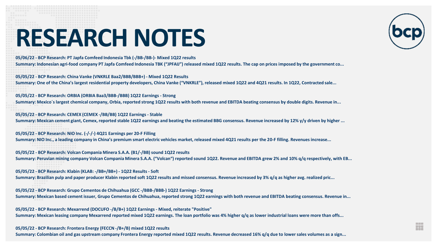**05/06/22 - BCP Research: PT Japfa Comfeed Indonesia Tbk (-/BB-/BB-)- Mixed 1Q22 results**

**Summary: Indonesian agri-food company PT Japfa Comfeed Indonesia TBK ("JPFAIJ") released mixed 1Q22 results. The cap on prices imposed by the government co...**

**05/05/22 - BCP Research: China Vanke (VNKRLE Baa2/BBB/BBB+) - Mixed 1Q22 Results** 

**Summary: One of the China's largest residential property developers, China Vanke ("VNKRLE"), released mixed 1Q22 and 4Q21 results. In 1Q22, Contracted sale...**

**05/05/22 - BCP Research: ORBIA (ORBIA Baa3/BBB-/BBB) 1Q22 Earnings - Strong**

**Summary: Mexico´s largest chemical company, Orbia, reported strong 1Q22 results with both revenue and EBITDA beating consensus by double digits. Revenue in...**

**05/05/22 - BCP Research: CEMEX (CEMEX -/BB/BB) 1Q22 Earnings - Stable Summary: Mexican cement giant, Cemex, reported stable 1Q22 earnings and beating the estimated BBG consensus. Revenue increased by 12% y/y driven by higher ...**

**05/05/22 - BCP Research: NIO Inc. (-/-/-) 4Q21 Earnings per 20-F Filling**

**Summary: NIO Inc., a leading company in China's premium smart electric vehicles market, released mixed 4Q21 results per the 20-F filling. Revenues increase...**

**05/05/22 - BCP Research: Volcan Compania Minera S.A.A. (B1/-/BB) sound 1Q22 results Summary: Peruvian mining company Volcan Compania Minera S.A.A. ("Volcan") reported sound 1Q22. Revenue and EBITDA grew 2% and 10% q/q respectively, with EB...**

**05/05/22 - BCP Research: Klabin (KLAB: -/BB+/BB+) - 1Q22 Results - Soft**

**Summary: Brazilian pulp and paper producer Klabin reported soft 1Q22 results and missed consensus. Revenue increased by 3% q/q as higher avg. realized pric...**

**05/05/22 - BCP Research: Grupo Cementos de Chihuahua (GCC -/BBB-/BBB-) 1Q22 Earnings - Strong Summary: Mexican based cement issuer, Grupo Cementos de Chihuahua, reported strong 1Q22 earnings with both revenue and EBITDA beating consensus. Revenue in...**

**05/05/22 - BCP Research: Mexarrend (DOCUFO -/B/B+) 1Q22 Earnings - Mixed, reiterate "Positive" Summary: Mexican leasing company Mexarrend reported mixed 1Q22 earnings. The loan portfolio was 4% higher q/q as lower industrial loans were more than offs...**

**05/05/22 - BCP Research: Frontera Energy (FECCN -/B+/B) mixed 1Q22 results**

**Summary: Colombian oil and gas upstream company Frontera Energy reported mixed 1Q22 results. Revenue decreased 16% q/q due to lower sales volumes as a sign...**

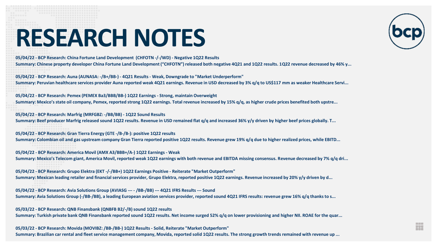

H

**05/04/22 - BCP Research: China Fortune Land Development (CHFOTN -/-/WD) - Negative 1Q22 Results**

**Summary: Chinese property developer China Fortune Land Development ("CHFOTN") released both negative 4Q21 and 1Q22 results. 1Q22 revenue decreased by 46% y...**

**05/04/22 - BCP Research: Auna (AUNASA: -/B+/BB-) - 4Q21 Results - Weak, Downgrade to "Market Underperform"**

**Summary: Peruvian healthcare services provider Auna reported weak 4Q21 earnings. Revenue in USD decreased by 3% q/q to US\$117 mm as weaker Healthcare Servi...**

**05/04/22 - BCP Research: Pemex (PEMEX Ba3/BBB/BB-) 1Q22 Earnings - Strong, maintain Overweight** 

**Summary: Mexico's state oil company, Pemex, reported strong 1Q22 earnings. Total revenue increased by 15% q/q, as higher crude prices benefited both upstre...**

**05/04/22 - BCP Research: Marfrig (MRFGBZ: -/BB/BB) - 1Q22 Sound Results** 

**Summary: Beef producer Marfrig released sound 1Q22 results. Revenue in USD remained flat q/q and increased 36% y/y driven by higher beef prices globally. T...**

**05/04/22 - BCP Research: Gran Tierra Energy (GTE -/B-/B-): positive 1Q22 results**

**Summary: Colombian oil and gas upstream company Gran Tierra reported positive 1Q22 results. Revenue grew 19% q/q due to higher realized prices, while EBITD...**

**05/04/22 - BCP Research: America Movil (AMX A3/BBB+/A-) 1Q22 Earnings - Weak**

**Summary: Mexico's Telecom giant, America Movil, reported weak 1Q22 earnings with both revenue and EBITDA missing consensus. Revenue decreased by 7% q/q dri...**

**05/04/22 - BCP Research: Grupo Elektra (EKT -/-/BB+) 1Q22 Earnings Positive - Reiterate "Market Outperform"** 

**Summary: Mexican leading retailer and financial services provider, Grupo Elektra, reported positive 1Q22 earnings. Revenue increased by 20% y/y driven by d...**

**05/04/22 - BCP Research: Avia Solutions Group (AVIASG --- - /BB-/BB) --- 4Q21 IFRS Results --- Sound**

**Summary: Avia Solutions Group (-/BB-/BB), a leading European aviation services provider, reported sound 4Q21 IFRS results: revenue grew 16% q/q thanks to s...**

**05/03/22 - BCP Research: QNB Finansbank (QNBFB B2/-/B) sound 1Q22 results**

**Summary: Turkish private bank QNB Finansbank reported sound 1Q22 results. Net income surged 52% q/q on lower provisioning and higher NII. ROAE for the quar...**

**05/03/22 - BCP Research: Movida (MOVIBZ: /BB-/BB-) 1Q22 Results - Solid, Reiterate "Market Outperform"**

**Summary: Brazilian car rental and fleet service management company, Movida, reported solid 1Q22 results. The strong growth trends remained with revenue up ...**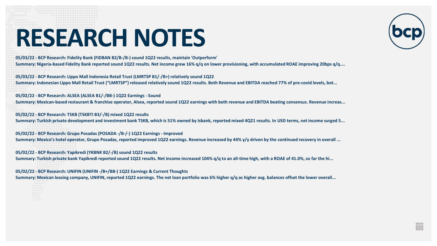**05/03/22 - BCP Research: Fidelity Bank (FIDBAN B2/B-/B-) sound 1Q22 results, maintain 'Outperform'**

**Summary: Nigeria-based Fidelity Bank reported sound 1Q22 results. Net income grew 16% q/q on lower provisioning, with accumulated ROAE improving 20bps q/q....**

**05/03/22 - BCP Research: Lippo Mall Indonesia Retail Trust (LMRTSP B1/-/B+) relatively sound 1Q22**

**Summary: Indonesian Lippo Mall Retail Trust ("LMRTSP") released relatively sound 1Q22 results. Both Revenue and EBITDA reached 77% of pre-covid levels, bot...**

**05/02/22 - BCP Research: ALSEA (ALSEA B1/-/BB-) 1Q22 Earnings - Sound**

**Summary: Mexican-based restaurant & franchise operator, Alsea, reported sound 1Q22 earnings with both revenue and EBITDA beating consensus. Revenue increas...**

**05/02/22 - BCP Research: TSKB (TSKBTI B3/-/B) mixed 1Q22 results**

**Summary: Turkish private development and investment bank TSKB, which is 51% owned by Isbank, reported mixed 4Q21 results. In USD terms, net income surged 5...**

**05/02/22 - BCP Research: Grupo Posadas (POSADA -/B-/-) 1Q22 Earnings - Improved** 

**Summary: Mexico's hotel operator, Grupo Posadas, reported improved 1Q22 earnings. Revenue increased by 44% y/y driven by the continued recovery in overall ...**

**05/02/22 - BCP Research: Yapikredi (YKBNK B2/-/B) sound 1Q22 results**

**Summary: Turkish private bank Yapikredi reported sound 1Q22 results. Net income increased 104% q/q to an all-time high, with a ROAE of 41.0%, so far the hi...**

**05/02/22 - BCP Research: UNIFIN (UNIFIN -/B+/BB-) 1Q22 Earnings & Current Thoughts** 

**Summary: Mexican leasing company, UNIFIN, reported 1Q22 earnings. The net loan portfolio was 6% higher q/q as higher avg. balances offset the lower overall...**

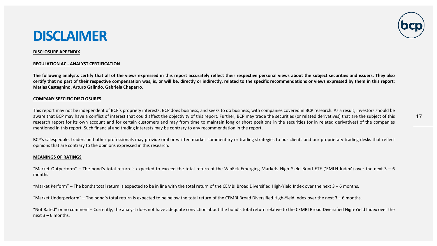#### **DISCLAIMER**

#### **DISCLOSURE APPENDIX**

#### **REGULATION AC - ANALYST CERTIFICATION**

The following analysts certify that all of the views expressed in this report accurately reflect their respective personal views about the subject securities and issuers. They also certify that no part of their respective compensation was, is, or will be, directly or indirectly, related to the specific recommendations or views expressed by them in this report: **Matias Castagnino, Arturo Galindo, Gabriela Chaparro.**

#### **COMPANY SPECIFIC DISCLOSURES**

This report may not be independent of BCP's propriety interests. BCP does business, and seeks to do business, with companies covered in BCP research. As a result, investors should be aware that BCP may have a conflict of interest that could affect the objectivity of this report. Further, BCP may trade the securities (or related derivatives) that are the subject of this research report for its own account and for certain customers and may from time to maintain long or short positions in the securities (or in related derivatives) of the companies mentioned in this report. Such financial and trading interests may be contrary to any recommendation in the report.

BCP's salespeople, traders and other professionals may provide oral or written market commentary or trading strategies to our clients and our proprietary trading desks that reflect opinions that are contrary to the opinions expressed in this research.

#### **MEANINGS OF RATINGS**

"Market Outperform" – The bond's total return is expected to exceed the total return of the VanEck Emerging Markets High Yield Bond ETF ('EMLH Index') over the next 3 – 6 months.

"Market Perform" – The bond's total return is expected to be in line with the total return of the CEMBI Broad Diversified High-Yield Index over the next 3 – 6 months.

"Market Underperform" – The bond's total return is expected to be below the total return of the CEMBI Broad Diversified High-Yield Index over the next 3 – 6 months.

"Not Rated" or no comment – Currently, the analyst does not have adequate conviction about the bond's total return relative to the CEMBI Broad Diversified High-Yield Index over the next  $3 - 6$  months.

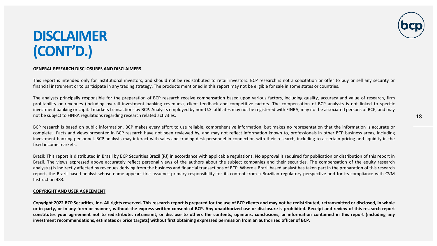

#### **DISCLAIMER (CONT'D.)**

#### **GENERAL RESEARCH DISCLOSURES AND DISCLAIMERS**

This report is intended only for institutional investors, and should not be redistributed to retail investors. BCP research is not a solicitation or offer to buy or sell any security or financial instrument or to participate in any trading strategy. The products mentioned in this report may not be eligible for sale in some states or countries.

The analysts principally responsible for the preparation of BCP research receive compensation based upon various factors, including quality, accuracy and value of research, firm profitability or revenues (including overall investment banking revenues), client feedback and competitive factors. The compensation of BCP analysts is not linked to specific investment banking or capital markets transactions by BCP. Analysts employed by non-U.S. affiliates may not be registered with FINRA, may not be associated persons of BCP, and may not be subject to FINRA regulations regarding research related activities.

BCP research is based on public information. BCP makes every effort to use reliable, comprehensive information, but makes no representation that the information is accurate or complete. Facts and views presented in BCP research have not been reviewed by, and may not reflect information known to, professionals in other BCP business areas, including investment banking personnel. BCP analysts may interact with sales and trading desk personnel in connection with their research, including to ascertain pricing and liquidity in the fixed income markets.

Brazil: This report is distributed in Brazil by BCP Securities Brazil (RJ) in accordance with applicable regulations. No approval is required for publication or distribution of this report in Brazil. The views expressed above accurately reflect personal views of the authors about the subject companies and their securities. The compensation of the equity research analyst(s) is indirectly affected by revenues deriving from the business and financial transactions of BCP. Where a Brazil based analyst has taken part in the preparation of this research report, the Brazil based analyst whose name appears first assumes primary responsibility for its content from a Brazilian regulatory perspective and for its compliance with CVM Instruction 483.

#### **COPYRIGHT AND USER AGREEMENT**

Copyright 2022 BCP Securities, Inc. All rights reserved. This research report is prepared for the use of BCP clients and may not be redistributed, retransmitted or disclosed, in whole or in party, or in any form or manner, without the express written consent of BCP. Any unauthorized use or disclosure is prohibited. Receipt and review of this research report constitutes your agreement not to redistribute, retransmit, or disclose to others the contents, opinions, conclusions, or information contained in this report (including any investment recommendations, estimates or price targets) without first obtaining expressed permission from an authorized officer of BCP.